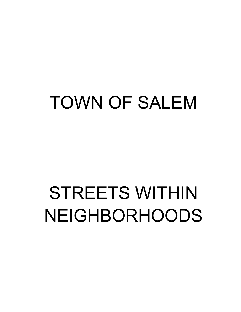# TOWN OF SALEM

# STREETS WITHIN NEIGHBORHOODS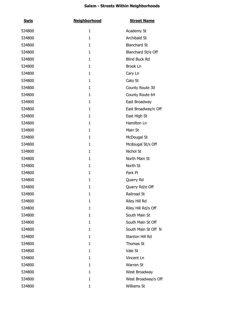| <u>Swis</u> | <b>Neighborhood</b> | <b>Street Name</b>   |
|-------------|---------------------|----------------------|
| 534800      | $\mathbf{1}$        | Academy St           |
| 534800      | $\mathbf{1}$        | Archibald St         |
| 534800      | $\mathbf{1}$        | <b>Blanchard St</b>  |
| 534800      | $\mathbf{1}$        | Blanchard St/e Off   |
| 534800      | $\mathbf{1}$        | <b>Blind Buck Rd</b> |
| 534800      | $\mathbf{1}$        | Brook Ln             |
| 534800      | $\mathbf{1}$        | Cary Ln              |
| 534800      | $\mathbf{1}$        | Cato St              |
| 534800      | $\mathbf{1}$        | County Route 30      |
| 534800      | $\mathbf{1}$        | County Route 64      |
| 534800      | $\mathbf{1}$        | East Broadway        |
| 534800      | $\mathbf{1}$        | East Broadway/n Off  |
| 534800      | $\mathbf{1}$        | East High St         |
| 534800      | $\mathbf{1}$        | Hamilton Ln          |
| 534800      | $\mathbf{1}$        | Main St              |
| 534800      | $\mathbf{1}$        | McDougal St          |
| 534800      | $\mathbf{1}$        | Mcdougal St/s Off    |
| 534800      | $\mathbf{1}$        | Nichol St            |
| 534800      | $\mathbf{1}$        | North Main St        |
| 534800      | $\mathbf{1}$        | North St             |
| 534800      | $\mathbf{1}$        | Park Pl              |
| 534800      | $\mathbf{1}$        | Quarry Rd            |
| 534800      | $\mathbf{1}$        | Quarry Rd/e Off      |
| 534800      | 1                   | Railroad St          |
| 534800      | 1                   | Riley Hill Rd        |
| 534800      | $\mathbf{1}$        | Riley Hill Rd/s Off  |
| 534800      | 1                   | South Main St        |
| 534800      | 1                   | South Main St Off    |
| 534800      | 1                   | South Main St Off N  |
| 534800      | $\mathbf{1}$        | Stanton Hill Rd      |
| 534800      | 1                   | Thomas St            |
| 534800      | 1                   | Vale St              |
| 534800      | 1                   | Vincent Ln           |
| 534800      | 1                   | Warren St            |
| 534800      | 1                   | West Broadway        |
| 534800      | $\mathbf{1}$        | West Broadway/s Off  |
| 534800      | 1                   | Williams St          |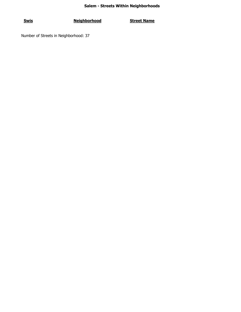**Swis Neighborhood Street Name**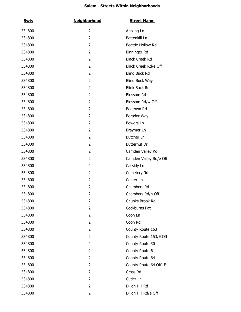| <u>Swis</u> | <b>Neighborhood</b> | <b>Street Name</b>     |
|-------------|---------------------|------------------------|
| 534800      | $\overline{2}$      | Appling Ln             |
| 534800      | $\overline{2}$      | Battenkill Ln          |
| 534800      | $\overline{2}$      | Beattie Hollow Rd      |
| 534800      | $\overline{2}$      | Binninger Rd           |
| 534800      | $\overline{2}$      | <b>Black Creek Rd</b>  |
| 534800      | $\overline{2}$      | Black Creek Rd/e Off   |
| 534800      | $\overline{2}$      | <b>Blind Buck Rd</b>   |
| 534800      | $\overline{2}$      | Blind Buck Way         |
| 534800      | $\overline{2}$      | <b>Blink Buck Rd</b>   |
| 534800      | $\overline{2}$      | <b>Blossom Rd</b>      |
| 534800      | $\overline{2}$      | Blossom Rd/w Off       |
| 534800      | $\overline{2}$      | Bogtown Rd             |
| 534800      | $\overline{2}$      | Borador Way            |
| 534800      | $\overline{2}$      | Bowers Ln              |
| 534800      | $\overline{2}$      | Braymer Ln             |
| 534800      | $\overline{2}$      | Butcher Ln             |
| 534800      | $\overline{2}$      | <b>Butternut Dr</b>    |
| 534800      | $\overline{2}$      | Camden Valley Rd       |
| 534800      | $\overline{2}$      | Camden Valley Rd/e Off |
| 534800      | $\overline{2}$      | Cassidy Ln             |
| 534800      | $\overline{2}$      | Cemetery Rd            |
| 534800      | $\overline{2}$      | Center Ln              |
| 534800      | $\overline{2}$      | Chambers Rd            |
| 534800      | $\overline{2}$      | Chambers Rd/n Off      |
| 534800      | 2                   | Chunks Brook Rd        |
| 534800      | 2                   | Cockburns Pat          |
| 534800      | $\overline{2}$      | Coon Ln                |
| 534800      | $\overline{2}$      | Coon Rd                |
| 534800      | $\overline{2}$      | County Route 153       |
| 534800      | $\overline{2}$      | County Route 153/E Off |
| 534800      | $\overline{2}$      | County Route 30        |
| 534800      | $\overline{2}$      | County Route 61        |
| 534800      | $\overline{2}$      | County Route 64        |
| 534800      | $\overline{2}$      | County Route 64 Off E  |
| 534800      | $\overline{2}$      | Cross Rd               |
| 534800      | $\overline{2}$      | Cutler Ln              |
| 534800      | $\overline{2}$      | Dillon Hill Rd         |
| 534800      | 2                   | Dillon Hill Rd/e Off   |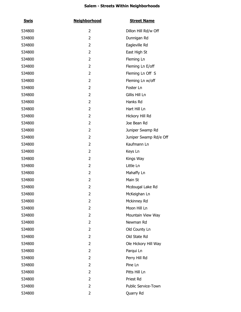| <b>Swis</b> | <b>Neighborhood</b> | <b>Street Name</b>     |
|-------------|---------------------|------------------------|
| 534800      | $\overline{2}$      | Dillon Hill Rd/w Off   |
| 534800      | $\overline{2}$      | Dunnigan Rd            |
| 534800      | 2                   | Eagleville Rd          |
| 534800      | 2                   | East High St           |
| 534800      | 2                   | Fleming Ln             |
| 534800      | 2                   | Fleming Ln E/off       |
| 534800      | 2                   | Fleming Ln Off S       |
| 534800      | 2                   | Fleming Ln w/off       |
| 534800      | 2                   | Foster Ln              |
| 534800      | 2                   | Gillis Hill Ln         |
| 534800      | 2                   | Hanks Rd               |
| 534800      | 2                   | Hart Hill Ln           |
| 534800      | 2                   | Hickory Hill Rd        |
| 534800      | 2                   | Joe Bean Rd            |
| 534800      | 2                   | Juniper Swamp Rd       |
| 534800      | 2                   | Juniper Swamp Rd/e Off |
| 534800      | 2                   | Kaufmann Ln            |
| 534800      | 2                   | Keys Ln                |
| 534800      | 2                   | Kings Way              |
| 534800      | 2                   | Little Ln              |
| 534800      | 2                   | Mahaffy Ln             |
| 534800      | 2                   | Main St                |
| 534800      | $\overline{2}$      | Mcdougal Lake Rd       |
| 534800      | $\overline{2}$      | McKeighan Ln           |
| 534800      | 2                   | Mckinney Rd            |
| 534800      | 2                   | Moon Hill Ln           |
| 534800      | 2                   | Mountain View Way      |
| 534800      | 2                   | Newman Rd              |
| 534800      | 2                   | Old County Ln          |
| 534800      | 2                   | Old State Rd           |
| 534800      | 2                   | Ole Hickory Hill Way   |
| 534800      | 2                   | Parqui Ln              |
| 534800      | 2                   | Perry Hill Rd          |
| 534800      | 2                   | Pine Ln                |
| 534800      | 2                   | Pitts Hill Ln          |
| 534800      | 2                   | Priest Rd              |
| 534800      | 2                   | Public Service-Town    |
| 534800      | 2                   | Quarry Rd              |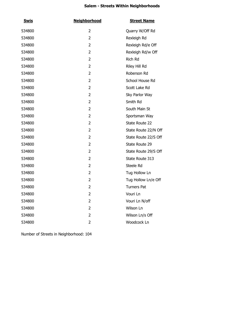| <b>Swis</b> | <b>Neighborhood</b> | <b>Street Name</b>   |
|-------------|---------------------|----------------------|
| 534800      | 2                   | Quarry W/Off Rd      |
| 534800      | 2                   | Rexleigh Rd          |
| 534800      | 2                   | Rexleigh Rd/e Off    |
| 534800      | 2                   | Rexleigh Rd/w Off    |
| 534800      | 2                   | Rich Rd              |
| 534800      | 2                   | Riley Hill Rd        |
| 534800      | 2                   | Roberson Rd          |
| 534800      | 2                   | School House Rd      |
| 534800      | 2                   | Scott Lake Rd        |
| 534800      | 2                   | Sky Parlor Way       |
| 534800      | 2                   | Smith Rd             |
| 534800      | 2                   | South Main St        |
| 534800      | 2                   | Sportsman Way        |
| 534800      | 2                   | State Route 22       |
| 534800      | 2                   | State Route 22/N Off |
| 534800      | 2                   | State Route 22/S Off |
| 534800      | 2                   | State Route 29       |
| 534800      | 2                   | State Route 29/S Off |
| 534800      | 2                   | State Route 313      |
| 534800      | 2                   | Steele Rd            |
| 534800      | 2                   | Tug Hollow Ln        |
| 534800      | 2                   | Tug Hollow Ln/e Off  |
| 534800      | $\overline{2}$      | <b>Turners Pat</b>   |
| 534800      | 2                   | Vouri Ln             |
| 534800      | 2                   | Vouri Ln N/off       |
| 534800      | 2                   | Wilson Ln            |
| 534800      | 2                   | Wilson Ln/s Off      |
| 534800      | 2                   | Woodcock Ln          |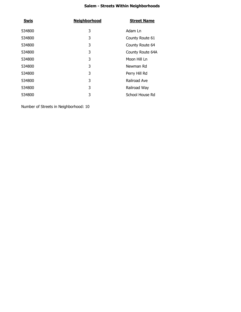| <b>Swis</b> | <b>Neighborhood</b> | <b>Street Name</b> |
|-------------|---------------------|--------------------|
| 534800      | 3                   | Adam Ln            |
| 534800      | 3                   | County Route 61    |
| 534800      | 3                   | County Route 64    |
| 534800      | 3                   | County Route 64A   |
| 534800      | 3                   | Moon Hill Ln       |
| 534800      | 3                   | Newman Rd          |
| 534800      | 3                   | Perry Hill Rd      |
| 534800      | 3                   | Railroad Ave       |
| 534800      | 3                   | Railroad Way       |
| 534800      | 3                   | School House Rd    |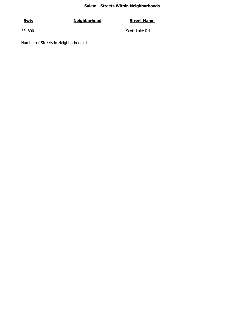| <u>Swis</u> | <b>Neighborhood</b> | <b>Street Name</b> |
|-------------|---------------------|--------------------|
| 534800      |                     | Scott Lake Rd      |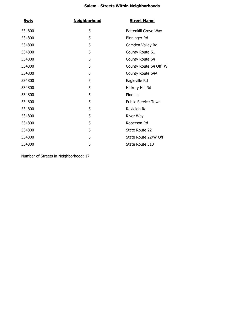| <u>Swis</u> | <b>Neighborhood</b> | <b>Street Name</b>         |
|-------------|---------------------|----------------------------|
| 534800      | 5                   | Battenkill Grove Way       |
| 534800      | 5                   | Binninger Rd               |
| 534800      | 5                   | Camden Valley Rd           |
| 534800      | 5                   | County Route 61            |
| 534800      | 5                   | County Route 64            |
| 534800      | 5                   | County Route 64 Off W      |
| 534800      | 5                   | County Route 64A           |
| 534800      | 5                   | Eagleville Rd              |
| 534800      | 5                   | Hickory Hill Rd            |
| 534800      | 5                   | Pine Ln                    |
| 534800      | 5                   | <b>Public Service-Town</b> |
| 534800      | 5                   | Rexleigh Rd                |
| 534800      | 5                   | <b>River Way</b>           |
| 534800      | 5                   | Roberson Rd                |
| 534800      | 5                   | State Route 22             |
| 534800      | 5                   | State Route 22/W Off       |
| 534800      | 5                   | State Route 313            |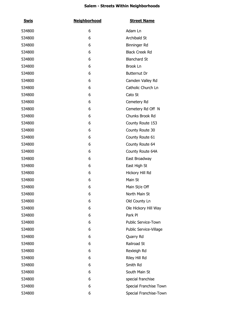| <b>Swis</b> | <b>Neighborhood</b> | <b>Street Name</b>     |
|-------------|---------------------|------------------------|
| 534800      | 6                   | Adam Ln                |
| 534800      | 6                   | Archibald St           |
| 534800      | 6                   | Binninger Rd           |
| 534800      | 6                   | <b>Black Creek Rd</b>  |
| 534800      | 6                   | <b>Blanchard St</b>    |
| 534800      | 6                   | Brook Ln               |
| 534800      | 6                   | Butternut Dr           |
| 534800      | 6                   | Camden Valley Rd       |
| 534800      | 6                   | Catholic Church Ln     |
| 534800      | 6                   | Cato St                |
| 534800      | 6                   | Cemetery Rd            |
| 534800      | 6                   | Cemetery Rd Off N      |
| 534800      | 6                   | Chunks Brook Rd        |
| 534800      | 6                   | County Route 153       |
| 534800      | 6                   | County Route 30        |
| 534800      | 6                   | County Route 61        |
| 534800      | 6                   | County Route 64        |
| 534800      | 6                   | County Route 64A       |
| 534800      | 6                   | East Broadway          |
| 534800      | 6                   | East High St           |
| 534800      | 6                   | Hickory Hill Rd        |
| 534800      | 6                   | Main St                |
| 534800      | 6                   | Main St/e Off          |
| 534800      | 6                   | North Main St          |
| 534800      | 6                   | Old County Ln          |
| 534800      | 6                   | Ole Hickory Hill Way   |
| 534800      | 6                   | Park Pl                |
| 534800      | 6                   | Public Service-Town    |
| 534800      | 6                   | Public Service-Village |
| 534800      | 6                   | Quarry Rd              |
| 534800      | 6                   | Railroad St            |
| 534800      | 6                   | Rexleigh Rd            |
| 534800      | 6                   | Riley Hill Rd          |
| 534800      | 6                   | Smith Rd               |
| 534800      | 6                   | South Main St          |
| 534800      | 6                   | special franchise      |
| 534800      | 6                   | Special Franchise Town |
| 534800      | 6                   | Special Franchise-Town |